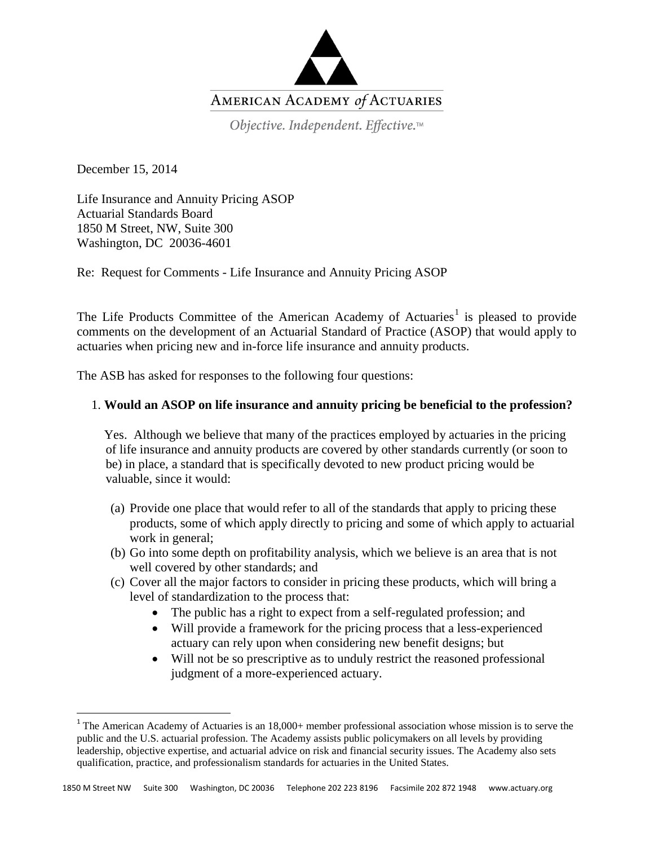

Objective. Independent. Effective.™

December 15, 2014

Life Insurance and Annuity Pricing ASOP Actuarial Standards Board 1850 M Street, NW, Suite 300 Washington, DC 20036-4601

Re: Request for Comments - Life Insurance and Annuity Pricing ASOP

The Life Products Committee of the American Academy of Actuaries<sup>[1](#page-0-0)</sup> is pleased to provide comments on the development of an Actuarial Standard of Practice (ASOP) that would apply to actuaries when pricing new and in-force life insurance and annuity products.

The ASB has asked for responses to the following four questions:

# 1. **Would an ASOP on life insurance and annuity pricing be beneficial to the profession?**

 Yes. Although we believe that many of the practices employed by actuaries in the pricing of life insurance and annuity products are covered by other standards currently (or soon to be) in place, a standard that is specifically devoted to new product pricing would be valuable, since it would:

- (a) Provide one place that would refer to all of the standards that apply to pricing these products, some of which apply directly to pricing and some of which apply to actuarial work in general;
- (b) Go into some depth on profitability analysis, which we believe is an area that is not well covered by other standards; and
- (c) Cover all the major factors to consider in pricing these products, which will bring a level of standardization to the process that:
	- The public has a right to expect from a self-regulated profession; and
	- Will provide a framework for the pricing process that a less-experienced actuary can rely upon when considering new benefit designs; but
	- Will not be so prescriptive as to unduly restrict the reasoned professional judgment of a more-experienced actuary.

<span id="page-0-0"></span><sup>&</sup>lt;sup>1</sup> The American Academy of Actuaries is an  $18,000+$  member professional association whose mission is to serve the public and the U.S. actuarial profession. The Academy assists public policymakers on all levels by providing leadership, objective expertise, and actuarial advice on risk and financial security issues. The Academy also sets qualification, practice, and professionalism standards for actuaries in the United States.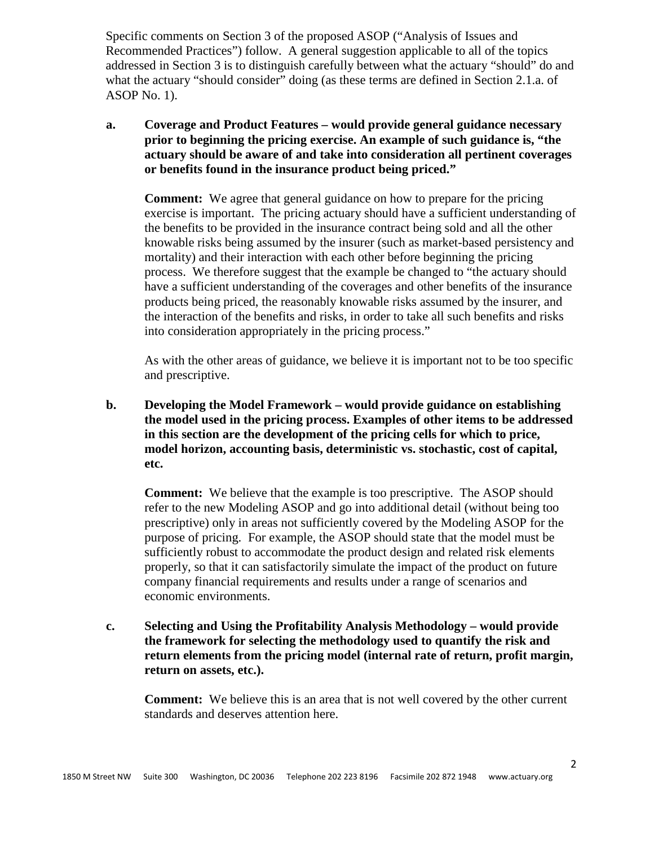Specific comments on Section 3 of the proposed ASOP ("Analysis of Issues and Recommended Practices") follow. A general suggestion applicable to all of the topics addressed in Section 3 is to distinguish carefully between what the actuary "should" do and what the actuary "should consider" doing (as these terms are defined in Section 2.1.a. of ASOP No. 1).

**a. Coverage and Product Features – would provide general guidance necessary prior to beginning the pricing exercise. An example of such guidance is, "the actuary should be aware of and take into consideration all pertinent coverages or benefits found in the insurance product being priced."**

**Comment:** We agree that general guidance on how to prepare for the pricing exercise is important. The pricing actuary should have a sufficient understanding of the benefits to be provided in the insurance contract being sold and all the other knowable risks being assumed by the insurer (such as market-based persistency and mortality) and their interaction with each other before beginning the pricing process. We therefore suggest that the example be changed to "the actuary should have a sufficient understanding of the coverages and other benefits of the insurance products being priced, the reasonably knowable risks assumed by the insurer, and the interaction of the benefits and risks, in order to take all such benefits and risks into consideration appropriately in the pricing process."

As with the other areas of guidance, we believe it is important not to be too specific and prescriptive.

**b. Developing the Model Framework – would provide guidance on establishing the model used in the pricing process. Examples of other items to be addressed in this section are the development of the pricing cells for which to price, model horizon, accounting basis, deterministic vs. stochastic, cost of capital, etc.**

**Comment:** We believe that the example is too prescriptive. The ASOP should refer to the new Modeling ASOP and go into additional detail (without being too prescriptive) only in areas not sufficiently covered by the Modeling ASOP for the purpose of pricing. For example, the ASOP should state that the model must be sufficiently robust to accommodate the product design and related risk elements properly, so that it can satisfactorily simulate the impact of the product on future company financial requirements and results under a range of scenarios and economic environments.

**c. Selecting and Using the Profitability Analysis Methodology – would provide the framework for selecting the methodology used to quantify the risk and return elements from the pricing model (internal rate of return, profit margin, return on assets, etc.).**

**Comment:** We believe this is an area that is not well covered by the other current standards and deserves attention here.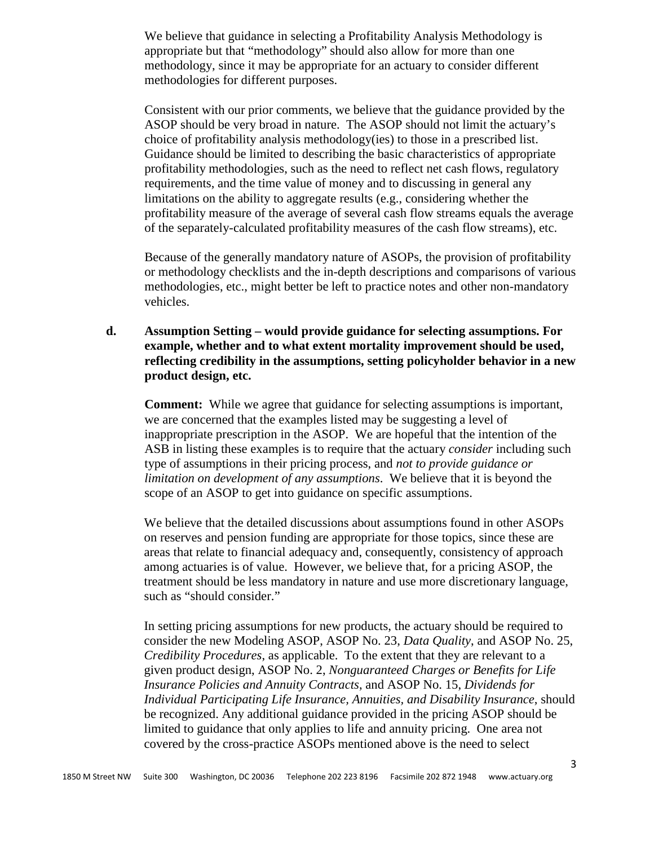We believe that guidance in selecting a Profitability Analysis Methodology is appropriate but that "methodology" should also allow for more than one methodology, since it may be appropriate for an actuary to consider different methodologies for different purposes.

Consistent with our prior comments, we believe that the guidance provided by the ASOP should be very broad in nature. The ASOP should not limit the actuary's choice of profitability analysis methodology(ies) to those in a prescribed list. Guidance should be limited to describing the basic characteristics of appropriate profitability methodologies, such as the need to reflect net cash flows, regulatory requirements, and the time value of money and to discussing in general any limitations on the ability to aggregate results (e.g., considering whether the profitability measure of the average of several cash flow streams equals the average of the separately-calculated profitability measures of the cash flow streams), etc.

Because of the generally mandatory nature of ASOPs, the provision of profitability or methodology checklists and the in-depth descriptions and comparisons of various methodologies, etc., might better be left to practice notes and other non-mandatory vehicles.

**d. Assumption Setting – would provide guidance for selecting assumptions. For example, whether and to what extent mortality improvement should be used, reflecting credibility in the assumptions, setting policyholder behavior in a new product design, etc.**

**Comment:** While we agree that guidance for selecting assumptions is important, we are concerned that the examples listed may be suggesting a level of inappropriate prescription in the ASOP. We are hopeful that the intention of the ASB in listing these examples is to require that the actuary *consider* including such type of assumptions in their pricing process, and *not to provide guidance or limitation on development of any assumptions*. We believe that it is beyond the scope of an ASOP to get into guidance on specific assumptions.

We believe that the detailed discussions about assumptions found in other ASOPs on reserves and pension funding are appropriate for those topics, since these are areas that relate to financial adequacy and, consequently, consistency of approach among actuaries is of value. However, we believe that, for a pricing ASOP, the treatment should be less mandatory in nature and use more discretionary language, such as "should consider."

In setting pricing assumptions for new products, the actuary should be required to consider the new Modeling ASOP, ASOP No. 23, *Data Quality*, and ASOP No. 25, *Credibility Procedures*, as applicable. To the extent that they are relevant to a given product design, ASOP No. 2, *Nonguaranteed Charges or Benefits for Life Insurance Policies and Annuity Contracts*, and ASOP No. 15, *Dividends for Individual Participating Life Insurance, Annuities, and Disability Insurance*, should be recognized. Any additional guidance provided in the pricing ASOP should be limited to guidance that only applies to life and annuity pricing. One area not covered by the cross-practice ASOPs mentioned above is the need to select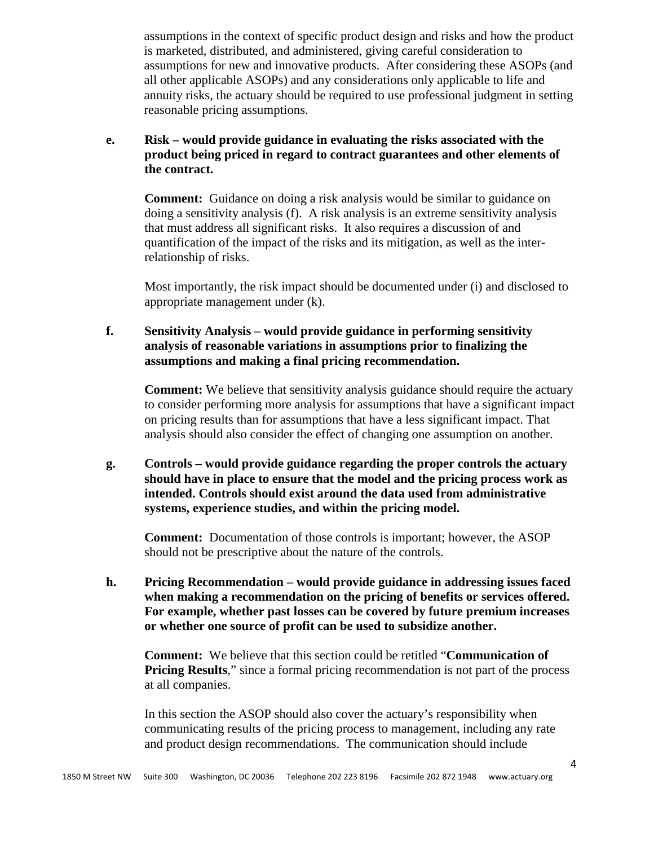assumptions in the context of specific product design and risks and how the product is marketed, distributed, and administered, giving careful consideration to assumptions for new and innovative products. After considering these ASOPs (and all other applicable ASOPs) and any considerations only applicable to life and annuity risks, the actuary should be required to use professional judgment in setting reasonable pricing assumptions.

### **e. Risk – would provide guidance in evaluating the risks associated with the product being priced in regard to contract guarantees and other elements of the contract.**

**Comment:** Guidance on doing a risk analysis would be similar to guidance on doing a sensitivity analysis (f). A risk analysis is an extreme sensitivity analysis that must address all significant risks. It also requires a discussion of and quantification of the impact of the risks and its mitigation, as well as the interrelationship of risks.

Most importantly, the risk impact should be documented under (i) and disclosed to appropriate management under (k).

# **f. Sensitivity Analysis – would provide guidance in performing sensitivity analysis of reasonable variations in assumptions prior to finalizing the assumptions and making a final pricing recommendation.**

**Comment:** We believe that sensitivity analysis guidance should require the actuary to consider performing more analysis for assumptions that have a significant impact on pricing results than for assumptions that have a less significant impact. That analysis should also consider the effect of changing one assumption on another.

**g. Controls – would provide guidance regarding the proper controls the actuary should have in place to ensure that the model and the pricing process work as intended. Controls should exist around the data used from administrative systems, experience studies, and within the pricing model.**

**Comment:** Documentation of those controls is important; however, the ASOP should not be prescriptive about the nature of the controls.

**h. Pricing Recommendation – would provide guidance in addressing issues faced when making a recommendation on the pricing of benefits or services offered. For example, whether past losses can be covered by future premium increases or whether one source of profit can be used to subsidize another.**

**Comment:** We believe that this section could be retitled "**Communication of Pricing Results,**" since a formal pricing recommendation is not part of the process at all companies.

In this section the ASOP should also cover the actuary's responsibility when communicating results of the pricing process to management, including any rate and product design recommendations. The communication should include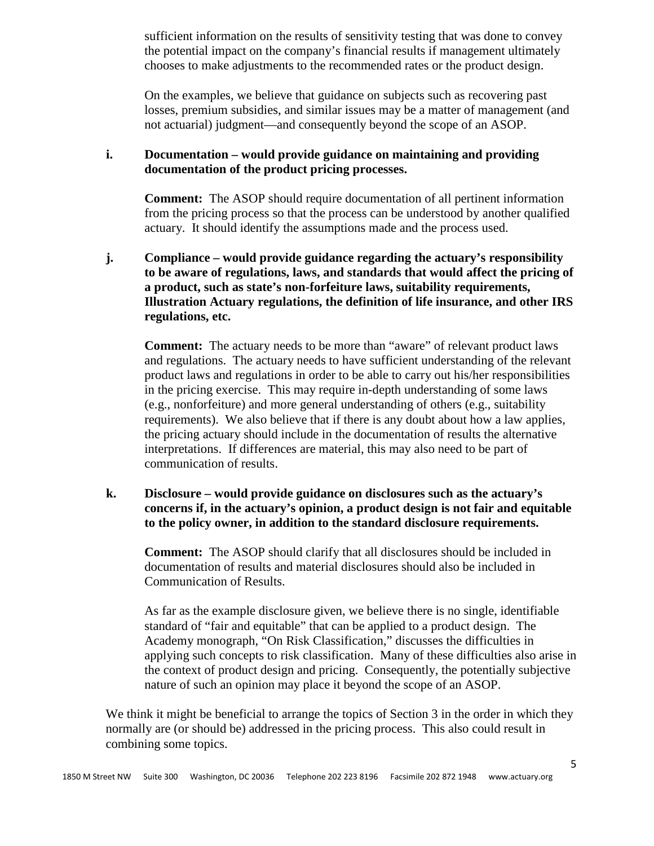sufficient information on the results of sensitivity testing that was done to convey the potential impact on the company's financial results if management ultimately chooses to make adjustments to the recommended rates or the product design.

On the examples, we believe that guidance on subjects such as recovering past losses, premium subsidies, and similar issues may be a matter of management (and not actuarial) judgment—and consequently beyond the scope of an ASOP.

### **i. Documentation – would provide guidance on maintaining and providing documentation of the product pricing processes.**

**Comment:** The ASOP should require documentation of all pertinent information from the pricing process so that the process can be understood by another qualified actuary. It should identify the assumptions made and the process used.

**j. Compliance – would provide guidance regarding the actuary's responsibility to be aware of regulations, laws, and standards that would affect the pricing of a product, such as state's non-forfeiture laws, suitability requirements, Illustration Actuary regulations, the definition of life insurance, and other IRS regulations, etc.**

**Comment:** The actuary needs to be more than "aware" of relevant product laws and regulations. The actuary needs to have sufficient understanding of the relevant product laws and regulations in order to be able to carry out his/her responsibilities in the pricing exercise. This may require in-depth understanding of some laws (e.g., nonforfeiture) and more general understanding of others (e.g., suitability requirements). We also believe that if there is any doubt about how a law applies, the pricing actuary should include in the documentation of results the alternative interpretations. If differences are material, this may also need to be part of communication of results.

# **k. Disclosure – would provide guidance on disclosures such as the actuary's concerns if, in the actuary's opinion, a product design is not fair and equitable to the policy owner, in addition to the standard disclosure requirements.**

**Comment:** The ASOP should clarify that all disclosures should be included in documentation of results and material disclosures should also be included in Communication of Results.

As far as the example disclosure given, we believe there is no single, identifiable standard of "fair and equitable" that can be applied to a product design. The Academy monograph, "On Risk Classification," discusses the difficulties in applying such concepts to risk classification. Many of these difficulties also arise in the context of product design and pricing. Consequently, the potentially subjective nature of such an opinion may place it beyond the scope of an ASOP.

We think it might be beneficial to arrange the topics of Section 3 in the order in which they normally are (or should be) addressed in the pricing process. This also could result in combining some topics.